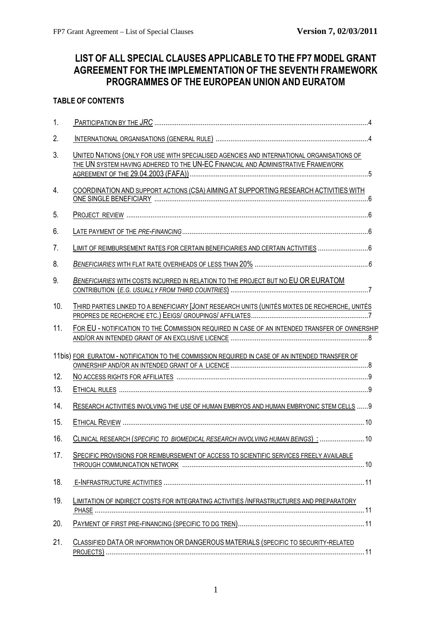# <span id="page-0-0"></span>**LIST OF ALL SPECIAL CLAUSES APPLICABLE TO THE FP7 MODEL GRANT AGREEMENT FOR THE IMPLEMENTATION OF THE SEVENTH FRAMEWORK PROGRAMMES OF THE EUROPEAN UNION AND EURATOM**

# **TABLE OF CONTENTS**

| 1.  |                                                                                                                                                                               |
|-----|-------------------------------------------------------------------------------------------------------------------------------------------------------------------------------|
| 2.  |                                                                                                                                                                               |
| 3.  | UNITED NATIONS (ONLY FOR USE WITH SPECIALISED AGENCIES AND INTERNATIONAL ORGANISATIONS OF<br>THE UN SYSTEM HAVING ADHERED TO THE UN-EC FINANCIAL AND ADMINISTRATIVE FRAMEWORK |
| 4.  | COORDINATION AND SUPPORT ACTIONS (CSA) AIMING AT SUPPORTING RESEARCH ACTIVITIES WITH                                                                                          |
| 5.  |                                                                                                                                                                               |
| 6.  |                                                                                                                                                                               |
| 7.  | LIMIT OF REIMBURSEMENT RATES FOR CERTAIN BENEFICIARIES AND CERTAIN ACTIVITIES  6                                                                                              |
| 8.  |                                                                                                                                                                               |
| 9.  | BENEFICIARIES WITH COSTS INCURRED IN RELATION TO THE PROJECT BUT NO EU OR EURATOM                                                                                             |
| 10. | THIRD PARTIES LINKED TO A BENEFICIARY [JOINT RESEARCH UNITS (UNITÉS MIXTES DE RECHERCHE, UNITÉS                                                                               |
| 11. | FOR EU - NOTIFICATION TO THE COMMISSION REQUIRED IN CASE OF AN INTENDED TRANSFER OF OWNERSHIP                                                                                 |
|     | 11bis) FOR EURATOM - NOTIFICATION TO THE COMMISSION REQUIRED IN CASE OF AN INTENDED TRANSFER OF                                                                               |
| 12. |                                                                                                                                                                               |
| 13. |                                                                                                                                                                               |
| 14. | RESEARCH ACTIVITIES INVOLVING THE USE OF HUMAN EMBRYOS AND HUMAN EMBRYONIC STEM CELLS  9                                                                                      |
| 15. |                                                                                                                                                                               |
| 16. | CLINICAL RESEARCH (SPECIFIC TO BIOMEDICAL RESEARCH INVOLVING HUMAN BEINGS) :  10                                                                                              |
| 17. | SPECIFIC PROVISIONS FOR REIMBURSEMENT OF ACCESS TO SCIENTIFIC SERVICES FREELY AVAILABLE                                                                                       |
| 18. |                                                                                                                                                                               |
| 19. | LIMITATION OF INDIRECT COSTS FOR INTEGRATING ACTIVITIES /INFRASTRUCTURES AND PREPARATORY                                                                                      |
| 20. |                                                                                                                                                                               |
| 21. | CLASSIFIED DATA OR INFORMATION OR DANGEROUS MATERIALS (SPECIFIC TO SECURITY-RELATED                                                                                           |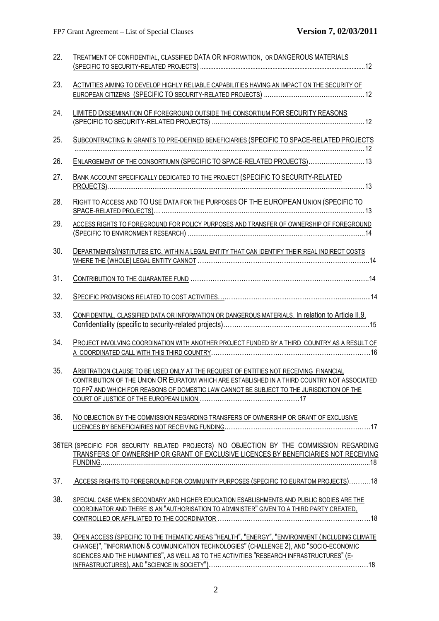| 22. | TREATMENT OF CONFIDENTIAL, CLASSIFIED DATA OR INFORMATION, OR DANGEROUS MATERIALS                                                                                                                                                                                                       |
|-----|-----------------------------------------------------------------------------------------------------------------------------------------------------------------------------------------------------------------------------------------------------------------------------------------|
|     |                                                                                                                                                                                                                                                                                         |
| 23. | ACTIVITIES AIMING TO DEVELOP HIGHLY RELIABLE CAPABILITIES HAVING AN IMPACT ON THE SECURITY OF                                                                                                                                                                                           |
| 24. | LIMITED DISSEMINATION OF FOREGROUND OUTSIDE THE CONSORTIUM FOR SECURITY REASONS                                                                                                                                                                                                         |
| 25. | SUBCONTRACTING IN GRANTS TO PRE-DEFINED BENEFICIARIES (SPECIFIC TO SPACE-RELATED PROJECTS                                                                                                                                                                                               |
| 26. | ENLARGEMENT OF THE CONSORTIUMN (SPECIFIC TO SPACE-RELATED PROJECTS) 13                                                                                                                                                                                                                  |
| 27. | BANK ACCOUNT SPECIFICALLY DEDICATED TO THE PROJECT (SPECIFIC TO SECURITY-RELATED                                                                                                                                                                                                        |
| 28. | RIGHT TO ACCESS AND TO USE DATA FOR THE PURPOSES OF THE EUROPEAN UNION (SPECIFIC TO                                                                                                                                                                                                     |
| 29. | ACCESS RIGHTS TO FOREGROUND FOR POLICY PURPOSES AND TRANSFER OF OWNERSHIP OF FOREGROUND                                                                                                                                                                                                 |
| 30. | DEPARTMENTS/INSTITUTES ETC. WITHIN A LEGAL ENTITY THAT CAN IDENTIFY THEIR REAL INDIRECT COSTS                                                                                                                                                                                           |
| 31. |                                                                                                                                                                                                                                                                                         |
| 32. |                                                                                                                                                                                                                                                                                         |
| 33. | CONFIDENTIAL, CLASSIFIED DATA OR INFORMATION OR DANGEROUS MATERIALS. In relation to Article II.9.                                                                                                                                                                                       |
| 34. | PROJECT INVOLVING COORDINATION WITH ANOTHER PROJECT FUNDED BY A THIRD COUNTRY AS A RESULT OF                                                                                                                                                                                            |
| 35. | ARBITRATION CLAUSE TO BE USED ONLY AT THE REQUEST OF ENTITIES NOT RECEIVING FINANCIAL<br>CONTRIBUTION OF THE UNION OR EURATOM WHICH ARE ESTABLISHED IN A THIRD COUNTRY NOT ASSOCIATED<br>TO FP7 AND WHICH FOR REASONS OF DOMESTIC LAW CANNOT BE SUBJECT TO THE JURISDICTION OF THE      |
| 36. | NO OBJECTION BY THE COMMISSION REGARDING TRANSFERS OF OWNERSHIP OR GRANT OF EXCLUSIVE                                                                                                                                                                                                   |
|     | 36TER (SPECIFIC FOR SECURITY RELATED PROJECTS) NO OBJECTION BY THE COMMISSION REGARDING<br>TRANSFERS OF OWNERSHIP OR GRANT OF EXCLUSIVE LICENCES BY BENEFICIARIES NOT RECEIVING                                                                                                         |
| 37. | ACCESS RIGHTS TO FOREGROUND FOR COMMUNITY PURPOSES (SPECIFIC TO EURATOM PROJECTS)18                                                                                                                                                                                                     |
| 38. | SPECIAL CASE WHEN SECONDARY AND HIGHER EDUCATION ESABLISHMENTS AND PUBLIC BODIES ARE THE<br>COORDINATOR AND THERE IS AN "AUTHORISATION TO ADMINISTER" GIVEN TO A THIRD PARTY CREATED,                                                                                                   |
| 39. | OPEN ACCESS (SPECIFIC TO THE THEMATIC AREAS "HEALTH", "ENERGY", "ENVIRONMENT (INCLUDING CLIMATE<br>CHANGE)", "INFORMATION & COMMUNICATION TECHNOLOGIES" (CHALLENGE 2), AND "SOCIO-ECONOMIC<br>SCIENCES AND THE HUMANITIES", AS WELL AS TO THE ACTIVITIES "RESEARCH INFRASTRUCTURES" (E- |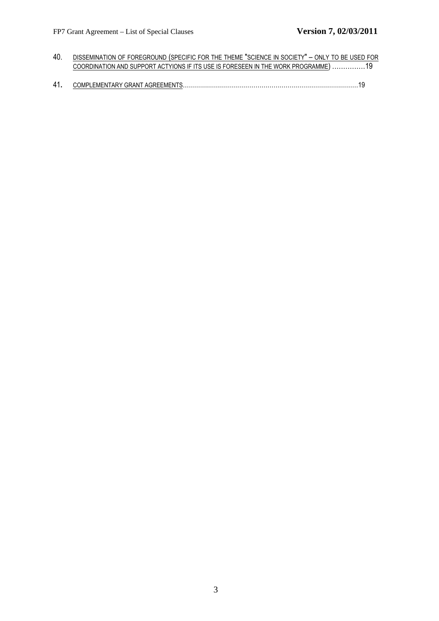- 40. DISSEMINATION OF FOREGROUND (SPECIFIC FOR THE THEME "SCIENCE IN SOCIETY" ONLY TO BE USED FOR COORDINATION AND SUPPORT ACTYIONS IF ITS USE IS FORESEEN IN THE WORK PROGRAMME) ……………19
- 41**.** COMPLEMENTARY GRANT AGREEMENTS……………………………………………………………………………19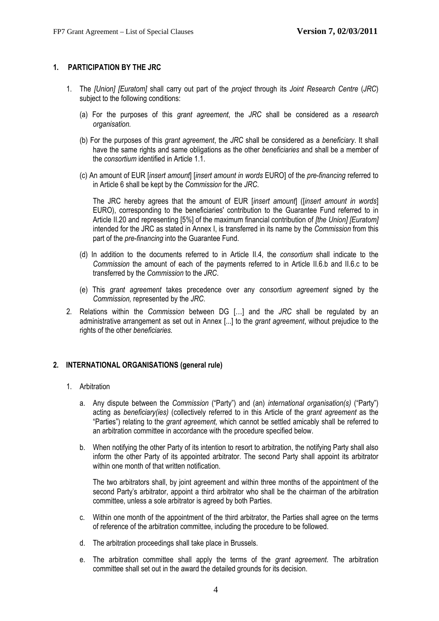# <span id="page-3-0"></span>**1. PARTICIPATION BY THE JRC**

- 1. The *[Union] [Euratom]* shall carry out part of the *project* through its *Joint Research Centre* (*JRC*) subject to the following conditions:
	- (a) For the purposes of this *grant agreement*, the *JRC* shall be considered as a *research organisation.*
	- (b) For the purposes of this *grant agreement*, the *JRC* shall be considered as a *beneficiary*. It shall have the same rights and same obligations as the other *beneficiaries* and shall be a member of the *consortium* identified in Article 1.1.
	- (c) An amount of EUR [*insert amount*] [*insert amount in words* EURO] of the *pre-financing* referred to in Article 6 shall be kept by the *Commission* for the *JRC*.

The JRC hereby agrees that the amount of EUR [*insert amount*] ([*insert amount in words*] EURO), corresponding to the beneficiaries' contribution to the Guarantee Fund referred to in Article II.20 and representing [5%] of the maximum financial contribution of *[the Union] [Euratom]* intended for the JRC as stated in Annex I, is transferred in its name by the *Commission* from this part of the *pre-financing* into the Guarantee Fund.

- (d) In addition to the documents referred to in Article II.4, the *consortium* shall indicate to the *Commission* the amount of each of the payments referred to in Article II.6.b and II.6.c to be transferred by the *Commission* to the *JRC*.
- (e) This *grant agreement* takes precedence over any *consortium agreement* signed by the *Commission,* represented by the *JRC*.
- 2. Relations within the *Commission* between DG […] and the *JRC* shall be regulated by an administrative arrangement as set out in Annex [...] to the *grant agreement*, without prejudice to the rights of the other *beneficiaries.*

# <span id="page-3-1"></span>**2. INTERNATIONAL ORGANISATIONS (general rule)**

#### 1. Arbitration

- a. Any dispute between the *Commission* ("Party") and (an) *international organisation(s)* ("Party") acting as *beneficiary(ies)* (collectively referred to in this Article of the *grant agreement* as the "Parties") relating to the *grant agreement,* which cannot be settled amicably shall be referred to an arbitration committee in accordance with the procedure specified below.
- b. When notifying the other Party of its intention to resort to arbitration, the notifying Party shall also inform the other Party of its appointed arbitrator. The second Party shall appoint its arbitrator within one month of that written notification.

The two arbitrators shall, by joint agreement and within three months of the appointment of the second Party's arbitrator, appoint a third arbitrator who shall be the chairman of the arbitration committee, unless a sole arbitrator is agreed by both Parties.

- c. Within one month of the appointment of the third arbitrator, the Parties shall agree on the terms of reference of the arbitration committee, including the procedure to be followed.
- d. The arbitration proceedings shall take place in Brussels.
- e. The arbitration committee shall apply the terms of the *grant agreement*. The arbitration committee shall set out in the award the detailed grounds for its decision.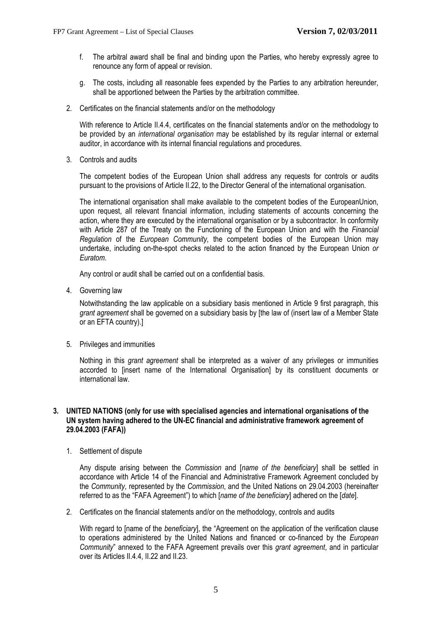- f. The arbitral award shall be final and binding upon the Parties, who hereby expressly agree to renounce any form of appeal or revision.
- g. The costs, including all reasonable fees expended by the Parties to any arbitration hereunder, shall be apportioned between the Parties by the arbitration committee.
- 2. Certificates on the financial statements and/or on the methodology

With reference to Article II.4.4, certificates on the financial statements and/or on the methodology to be provided by an *international organisation* may be established by its regular internal or external auditor, in accordance with its internal financial regulations and procedures.

3. Controls and audits

The competent bodies of the European Union shall address any requests for controls or audits pursuant to the provisions of Article II.22, to the Director General of the international organisation.

The international organisation shall make available to the competent bodies of the EuropeanUnion, upon request, all relevant financial information, including statements of accounts concerning the action, where they are executed by the international organisation or by a subcontractor. In conformity with Article 287 of the Treaty on the Functioning of the European Union and with the *Financial Regulation* of the *European Community*, the competent bodies of the European Union may undertake, including on-the-spot checks related to the action financed by the European Union *or Euratom*.

Any control or audit shall be carried out on a confidential basis.

4. Governing law

Notwithstanding the law applicable on a subsidiary basis mentioned in Article 9 first paragraph, this *grant agreement* shall be governed on a subsidiary basis by [the law of (insert law of a Member State or an EFTA country).]

5. Privileges and immunities

Nothing in this *grant agreement* shall be interpreted as a waiver of any privileges or immunities accorded to [insert name of the International Organisation] by its constituent documents or international law.

### <span id="page-4-0"></span>**3. UNITED NATIONS (only for use with specialised agencies and international organisations of the UN system having adhered to the UN-EC financial and administrative framework agreement of 29.04.2003 (FAFA))**

1. Settlement of dispute

Any dispute arising between the *Commission* and [*name of the beneficiary*] shall be settled in accordance with Article 14 of the Financial and Administrative Framework Agreement concluded by the *Community*, represented by the *Commission*, and the United Nations on 29.04.2003 (hereinafter referred to as the "FAFA Agreement") to which [*name of the beneficiary*] adhered on the [*date*].

2. Certificates on the financial statements and/or on the methodology, controls and audits

With regard to [name of the *beneficiary*], the "Agreement on the application of the verification clause to operations administered by the United Nations and financed or co-financed by the *European Community*" annexed to the FAFA Agreement prevails over this *grant agreement*, and in particular over its Articles II.4.4, II.22 and II.23.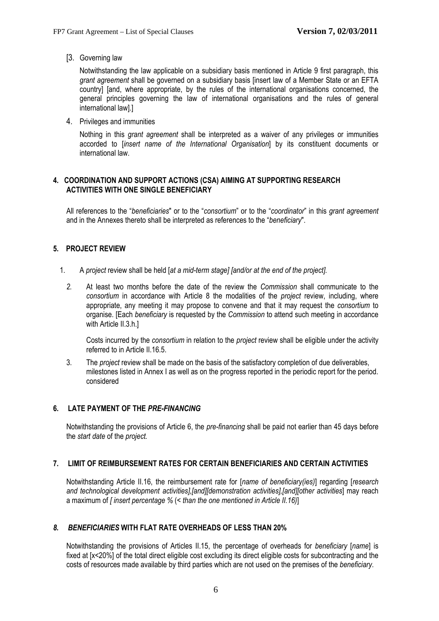[3. Governing law

Notwithstanding the law applicable on a subsidiary basis mentioned in Article 9 first paragraph, this *grant agreement* shall be governed on a subsidiary basis [insert law of a Member State or an EFTA country] [and, where appropriate, by the rules of the international organisations concerned, the general principles governing the law of international organisations and the rules of general international law].]

4. Privileges and immunities

Nothing in this *grant agreement* shall be interpreted as a waiver of any privileges or immunities accorded to [*insert name of the International Organisation*] by its constituent documents or international law.

# **4. COORDINATION AND SUPPORT ACTIONS (CSA) AIMING AT SUPPORTING RESEARCH ACTIVITIES WITH ONE SINGLE BENEFICIARY**

All references to the "*beneficiaries*" or to the "*consortium*" or to the "*coordinator*" in this *grant agreement* and in the Annexes thereto shall be interpreted as references to the "*beneficiary*".

# <span id="page-5-0"></span>**5. PROJECT REVIEW**

- 1. A *project* review shall be held [*at a mid-term stage] [and/or at the end of the project].* 
	- *2.* At least two months before the date of the review the *Commission* shall communicate to the *consortium* in accordance with Article 8 the modalities of the *project* review, including, where appropriate, any meeting it may propose to convene and that it may request the *consortium* to organise. [Each *beneficiary* is requested by the *Commission* to attend such meeting in accordance with Article II.3.h.]

Costs incurred by the *consortium* in relation to the *project* review shall be eligible under the activity referred to in Article II.16.5.

3. The *project* review shall be made on the basis of the satisfactory completion of due deliverables, milestones listed in Annex I as well as on the progress reported in the periodic report for the period. considered

# <span id="page-5-1"></span>**6. LATE PAYMENT OF THE** *PRE-FINANCING*

Notwithstanding the provisions of Article 6, the *pre-financing* shall be paid not earlier than 45 days before the *start date* of the *project.* 

#### <span id="page-5-2"></span>**7. LIMIT OF REIMBURSEMENT RATES FOR CERTAIN BENEFICIARIES AND CERTAIN ACTIVITIES**

Notwithstanding Article II.16, the reimbursement rate for [*name of beneficiary(ies)*] regarding [*research and technological development activities],[and][demonstration activities],[and][other activities*] may reach a maximum of *[ insert percentage %* (*< than the one mentioned in Article II.16)*]

# <span id="page-5-3"></span>*8. BENEFICIARIES* **WITH FLAT RATE OVERHEADS OF LESS THAN 20%**

Notwithstanding the provisions of Articles II.15, the percentage of overheads for *beneficiary* [*name*] is fixed at [x<20%] of the total direct eligible cost excluding its direct eligible costs for subcontracting and the costs of resources made available by third parties which are not used on the premises of the *beneficiary*.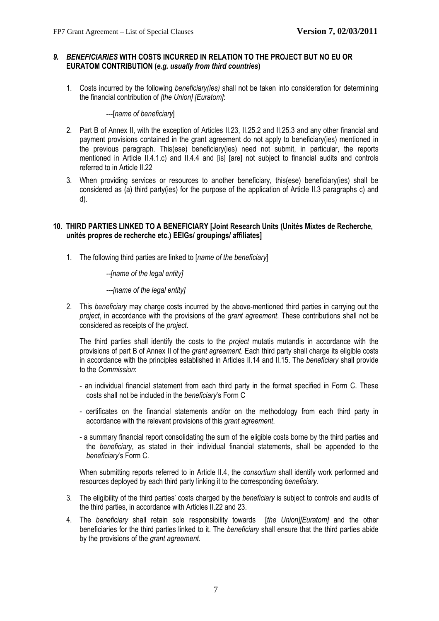# <span id="page-6-0"></span>*9. BENEFICIARIES* **WITH COSTS INCURRED IN RELATION TO THE PROJECT BUT NO EU OR EURATOM CONTRIBUTION (***e.g. usually from third countries***)**

1. Costs incurred by the following *beneficiary(ies)* shall not be taken into consideration for determining the financial contribution of *[the Union] [Euratom]*:

### ---[*name of beneficiary*]

- 2. Part B of Annex II, with the exception of Articles II.23, II.25.2 and II.25.3 and any other financial and payment provisions contained in the grant agreement do not apply to beneficiary(ies) mentioned in the previous paragraph. This(ese) beneficiary(ies) need not submit, in particular, the reports mentioned in Article II.4.1.c) and II.4.4 and [is] [are] not subject to financial audits and controls referred to in Article II.22
- 3. When providing services or resources to another beneficiary, this(ese) beneficiary(ies) shall be considered as (a) third party(ies) for the purpose of the application of Article II.3 paragraphs c) and d).

# <span id="page-6-1"></span>**10. THIRD PARTIES LINKED TO A BENEFICIARY [Joint Research Units (Unités Mixtes de Recherche, unités propres de recherche etc.) EEIGs/ groupings/ affiliates]**

1. The following third parties are linked to [*name of the beneficiary*]

# *--[name of the legal entity]*

# *---[name of the legal entity]*

2. This *beneficiary* may charge costs incurred by the above-mentioned third parties in carrying out the *project*, in accordance with the provisions of the *grant agreement*. These contributions shall not be considered as receipts of the *project*.

The third parties shall identify the costs to the *project* mutatis mutandis in accordance with the provisions of part B of Annex II of the *grant agreement*. Each third party shall charge its eligible costs in accordance with the principles established in Articles II.14 and II.15. The *beneficiary* shall provide to the *Commission*:

- an individual financial statement from each third party in the format specified in Form C. These costs shall not be included in the *beneficiary*'s Form C
- certificates on the financial statements and/or on the methodology from each third party in accordance with the relevant provisions of this *grant agreement*.
- a summary financial report consolidating the sum of the eligible costs borne by the third parties and the *beneficiary*, as stated in their individual financial statements, shall be appended to the *beneficiary*'s Form C.

When submitting reports referred to in Article II.4, the *consortium* shall identify work performed and resources deployed by each third party linking it to the corresponding *beneficiary*.

- 3. The eligibility of the third parties' costs charged by the *beneficiary* is subject to controls and audits of the third parties, in accordance with Articles II.22 and 23.
- 4. The *beneficiary* shall retain sole responsibility towards [*the Union][Euratom]* and the other beneficiaries for the third parties linked to it. The *beneficiary* shall ensure that the third parties abide by the provisions of the *grant agreement*.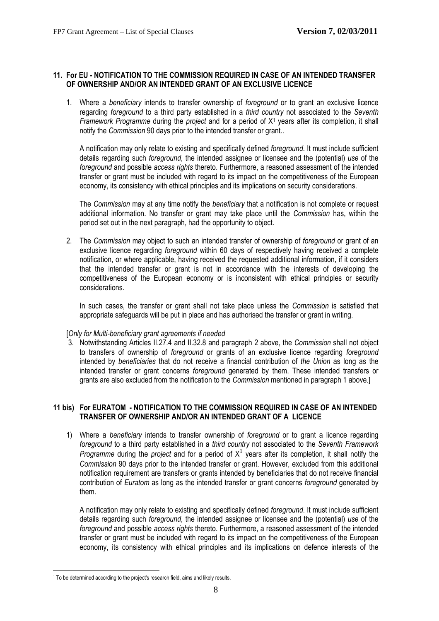# <span id="page-7-0"></span>**11. For EU - NOTIFICATION TO THE COMMISSION REQUIRED IN CASE OF AN INTENDED TRANSFER OF OWNERSHIP AND/OR AN INTENDED GRANT OF AN EXCLUSIVE LICENCE**

1. Where a *beneficiary* intends to transfer ownership of *foreground* or to grant an exclusive licence regarding *foreground* to a third party established in a *third country* not associated to the *Seventh Framework Programme* during the *project* and for a period of X<sup>1</sup> years after its completion, it shall notify the *Commission* 90 days prior to the intended transfer or grant..

A notification may only relate to existing and specifically defined *foreground*. It must include sufficient details regarding such *foreground*, the intended assignee or licensee and the (potential) *use* of the *foreground* and possible *access rights* thereto. Furthermore, a reasoned assessment of the intended transfer or grant must be included with regard to its impact on the competitiveness of the European economy, its consistency with ethical principles and its implications on security considerations.

The *Commission* may at any time notify the *beneficiary* that a notification is not complete or request additional information. No transfer or grant may take place until the *Commission* has, within the period set out in the next paragraph, had the opportunity to object.

2. The *Commission* may object to such an intended transfer of ownership of *foreground* or grant of an exclusive licence regarding *foreground* within 60 days of respectively having received a complete notification, or where applicable, having received the requested additional information, if it considers that the intended transfer or grant is not in accordance with the interests of developing the competitiveness of the European economy or is inconsistent with ethical principles or security considerations.

In such cases, the transfer or grant shall not take place unless the *Commission* is satisfied that appropriate safeguards will be put in place and has authorised the transfer or grant in writing.

#### [*Only for Multi-beneficiary grant agreements if needed*

3. Notwithstanding Articles II.27.4 and II.32.8 and paragraph 2 above, the *Commission* shall not object to transfers of ownership of *foreground* or grants of an exclusive licence regarding *foreground* intended by *beneficiaries* that do not receive a financial contribution of *the Union* as long as the intended transfer or grant concerns *foreground* generated by them. These intended transfers or grants are also excluded from the notification to the *Commission* mentioned in paragraph 1 above.]

# <span id="page-7-1"></span>**11 bis) For EURATOM - NOTIFICATION TO THE COMMISSION REQUIRED IN CASE OF AN INTENDED TRANSFER OF OWNERSHIP AND/OR AN INTENDED GRANT OF A LICENCE**

1) Where a *beneficiary* intends to transfer ownership of *foreground* or to grant a licence regarding *foreground* to a third party established in a *third country* not associated to the *Seventh Framework*  Programme during the *project* and for a period of  $X<sup>1</sup>$  years after its completion, it shall notify the *Commission* 90 days prior to the intended transfer or grant. However, excluded from this additional notification requirement are transfers or grants intended by beneficiaries that do not receive financial contribution of *Euratom* as long as the intended transfer or grant concerns *foreground* generated by them.

A notification may only relate to existing and specifically defined *foreground*. It must include sufficient details regarding such *foreground*, the intended assignee or licensee and the (potential) *use* of the *foreground* and possible *access rights* thereto. Furthermore, a reasoned assessment of the intended transfer or grant must be included with regard to its impact on the competitiveness of the European economy, its consistency with ethical principles and its implications on defence interests of the

 $\overline{a}$ <sup>1</sup> To be determined according to the project's research field, aims and likely results.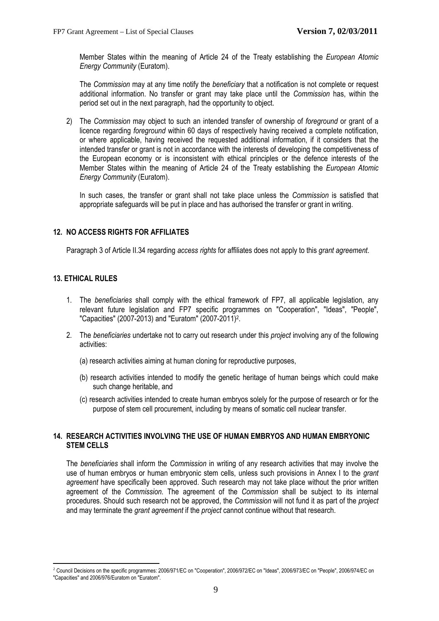Member States within the meaning of Article 24 of the Treaty establishing the *European Atomic Energy Community* (Euratom).

The *Commission* may at any time notify the *beneficiary* that a notification is not complete or request additional information. No transfer or grant may take place until the *Commission* has, within the period set out in the next paragraph, had the opportunity to object.

2) The *Commission* may object to such an intended transfer of ownership of *foreground* or grant of a licence regarding *foreground* within 60 days of respectively having received a complete notification, or where applicable, having received the requested additional information, if it considers that the intended transfer or grant is not in accordance with the interests of developing the competitiveness of the European economy or is inconsistent with ethical principles or the defence interests of the Member States within the meaning of Article 24 of the Treaty establishing the *European Atomic Energy Community* (Euratom).

In such cases, the transfer or grant shall not take place unless the *Commission* is satisfied that appropriate safeguards will be put in place and has authorised the transfer or grant in writing.

# <span id="page-8-0"></span>**12. NO ACCESS RIGHTS FOR AFFILIATES**

Paragraph 3 of Article II.34 regarding *access rights* for affiliates does not apply to this *grant agreement*.

# <span id="page-8-1"></span>**13. ETHICAL RULES**

 $\overline{a}$ 

- 1. The *beneficiaries* shall comply with the ethical framework of FP7, all applicable legislation, any relevant future legislation and FP7 specific programmes on "Cooperation", "Ideas", "People", "Capacities" (2007-2013) and "Euratom" (2007-2011)2.
- 2. The *beneficiaries* undertake not to carry out research under this *project* involving any of the following activities:
	- (a) research activities aiming at human cloning for reproductive purposes,
	- (b) research activities intended to modify the genetic heritage of human beings which could make such change heritable, and
	- (c) research activities intended to create human embryos solely for the purpose of research or for the purpose of stem cell procurement, including by means of somatic cell nuclear transfer.

# <span id="page-8-2"></span>**14. RESEARCH ACTIVITIES INVOLVING THE USE OF HUMAN EMBRYOS AND HUMAN EMBRYONIC STEM CELLS**

The *beneficiaries* shall inform the *Commission* in writing of any research activities that may involve the use of human embryos or human embryonic stem cells, unless such provisions in Annex I to the *grant agreement* have specifically been approved. Such research may not take place without the prior written agreement of the *Commission*. The agreement of the *Commission* shall be subject to its internal procedures. Should such research not be approved, the *Commission* will not fund it as part of the *project* and may terminate the *grant agreement* if the *project* cannot continue without that research.

<sup>&</sup>lt;sup>2</sup> Council Decisions on the specific programmes: 2006/971/EC on "Cooperation", 2006/972/EC on "Ideas", 2006/973/EC on "People", 2006/974/EC on "Capacities" and 2006/976/Euratom on "Euratom".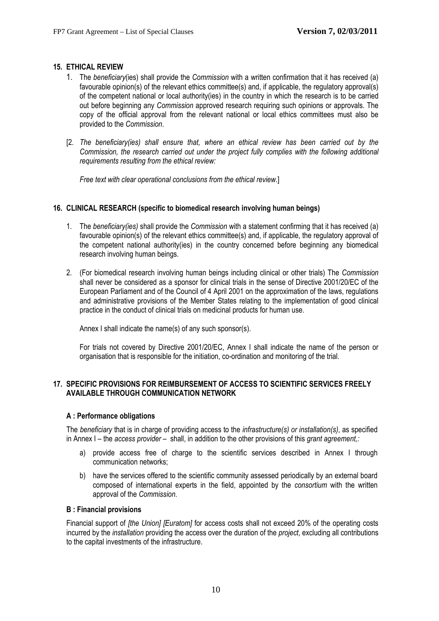# <span id="page-9-0"></span>**15. ETHICAL REVIEW**

- 1. The *beneficiary*(ies) shall provide the *Commission* with a written confirmation that it has received (a) favourable opinion(s) of the relevant ethics committee(s) and, if applicable, the regulatory approval(s) of the competent national or local authority(ies) in the country in which the research is to be carried out before beginning any *Commission* approved research requiring such opinions or approvals. The copy of the official approval from the relevant national or local ethics committees must also be provided to the *Commission*.
- [2. The beneficiary(ies) shall ensure that, where an ethical review has been carried out by the *Commission, the research carried out under the project fully complies with the following additional requirements resulting from the ethical review:*

*Free text with clear operational conclusions from the ethical review*.]

# <span id="page-9-1"></span>**16. CLINICAL RESEARCH (specific to biomedical research involving human beings)**

- 1. The *beneficiary(ies)* shall provide the *Commission* with a statement confirming that it has received (a) favourable opinion(s) of the relevant ethics committee(s) and, if applicable, the regulatory approval of the competent national authority(ies) in the country concerned before beginning any biomedical research involving human beings.
- 2. (For biomedical research involving human beings including clinical or other trials) The *Commission* shall never be considered as a sponsor for clinical trials in the sense of Directive 2001/20/EC of the European Parliament and of the Council of 4 April 2001 on the approximation of the laws, regulations and administrative provisions of the Member States relating to the implementation of good clinical practice in the conduct of clinical trials on medicinal products for human use.

Annex I shall indicate the name(s) of any such sponsor(s).

For trials not covered by Directive 2001/20/EC, Annex I shall indicate the name of the person or organisation that is responsible for the initiation, co-ordination and monitoring of the trial.

# <span id="page-9-2"></span>**17. SPECIFIC PROVISIONS FOR REIMBURSEMENT OF ACCESS TO SCIENTIFIC SERVICES FREELY AVAILABLE THROUGH COMMUNICATION NETWORK**

#### **A : Performance obligations**

The *beneficiary* that is in charge of providing access to the *infrastructure(s) or installation(s)*, as specified in Annex I – the *access provider –* shall, in addition to the other provisions of this *grant agreement,:*

- a) provide access free of charge to the scientific services described in Annex I through communication networks;
- b) have the services offered to the scientific community assessed periodically by an external board composed of international experts in the field, appointed by the *consortium* with the written approval of the *Commission*.

#### **B : Financial provisions**

Financial support of *[the Union] [Euratom]* for access costs shall not exceed 20% of the operating costs incurred by the *installation* providing the access over the duration of the *project*, excluding all contributions to the capital investments of the infrastructure.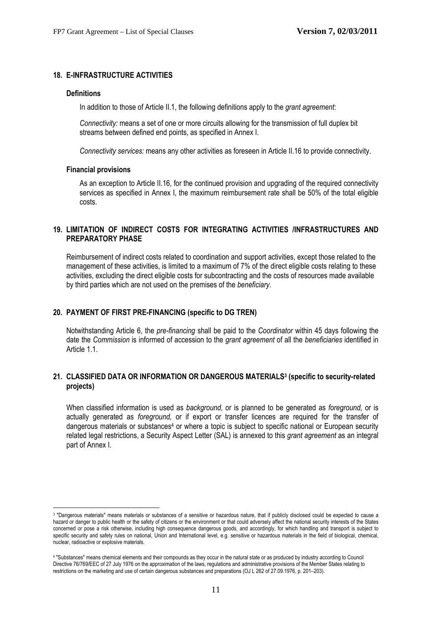# <span id="page-10-0"></span>**18. E-INFRASTRUCTURE ACTIVITIES**

#### **Definitions**

In addition to those of Article II.1, the following definitions apply to the *grant agreement*:

*Connectivity:* means a set of one or more circuits allowing for the transmission of full duplex bit streams between defined end points, as specified in Annex I.

*Connectivity services:* means any other activities as foreseen in Article II.16 to provide connectivity.

#### **Financial provisions**

 $\overline{a}$ 

As an exception to Article II.16, for the continued provision and upgrading of the required connectivity services as specified in Annex I, the maximum reimbursement rate shall be 50% of the total eligible costs.

# <span id="page-10-1"></span>**19. LIMITATION OF INDIRECT COSTS FOR INTEGRATING ACTIVITIES /INFRASTRUCTURES AND PREPARATORY PHASE**

Reimbursement of indirect costs related to coordination and support activities, except those related to the management of these activities, is limited to a maximum of 7% of the direct eligible costs relating to these activities, excluding the direct eligible costs for subcontracting and the costs of resources made available by third parties which are not used on the premises of the *beneficiary*.

# <span id="page-10-2"></span>**20. PAYMENT OF FIRST PRE-FINANCING (specific to DG TREN)**

Notwithstanding Article 6, the *pre-financing* shall be paid to the *Coordinator* within 45 days following the date the *Commission* is informed of accession to the *grant agreement* of all the *beneficiaries* identified in Article 1.1.

#### <span id="page-10-3"></span>21. CLASSIFIED DATA OR INFORMATION OR DANGEROUS MATERIALS<sup>3</sup> (specific to security-related **projects)**

When classified information is used as *background*, or is planned to be generated as *foreground,* or is actually generated as *foreground,* or if export or transfer licences are required for the transfer of dangerous materials or substances<sup>4</sup> or where a topic is subject to specific national or European security related legal restrictions, a Security Aspect Letter (SAL) is annexed to this *grant agreement* as an integral part of Annex I.

<sup>3 &</sup>quot;Dangerous materials" means materials or substances of a sensitive or hazardous nature, that if publicly disclosed could be expected to cause a hazard or danger to public health or the safety of citizens or the environment or that could adversely affect the national security interests of the States concerned or pose a risk otherwise, including high consequence dangerous goods, and accordingly, for which handling and transport is subject to specific security and safety rules on national, Union and International level, e.g. sensitive or hazardous materials in the field of biological, chemical, nuclear, radioactive or explosive materials.

<sup>4 &</sup>quot;Substances" means chemical elements and their compounds as they occur in the natural state or as produced by industry according to Council Directive 76/769/EEC of 27 July 1976 on the approximation of the laws, regulations and administrative provisions of the Member States relating to restrictions on the marketing and use of certain dangerous substances and preparations (OJ L 262 of 27.09.1976, p. 201–203).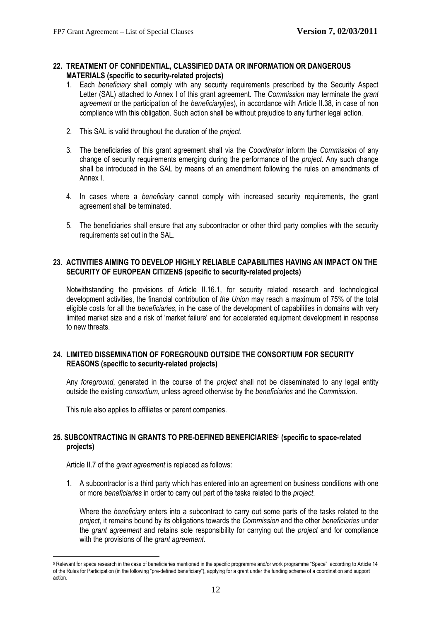### **22. TREATMENT OF CONFIDENTIAL, CLASSIFIED DATA OR INFORMATION OR DANGEROUS MATERIALS (specific to security-related projects)**

- 1. Each *beneficiary* shall comply with any security requirements prescribed by the Security Aspect Letter (SAL) attached to Annex I of this grant agreement. The *Commission* may terminate the *grant agreement* or the participation of the *beneficiary*(ies), in accordance with Article II.38, in case of non compliance with this obligation. Such action shall be without prejudice to any further legal action.
- 2. This SAL is valid throughout the duration of the *project*.
- 3. The beneficiaries of this grant agreement shall via the *Coordinator* inform the *Commission* of any change of security requirements emerging during the performance of the *project*. Any such change shall be introduced in the SAL by means of an amendment following the rules on amendments of Annex I.
- 4. In cases where a *beneficiary* cannot comply with increased security requirements, the grant agreement shall be terminated.
- 5. The beneficiaries shall ensure that any subcontractor or other third party complies with the security requirements set out in the SAL.

### <span id="page-11-0"></span>**23. ACTIVITIES AIMING TO DEVELOP HIGHLY RELIABLE CAPABILITIES HAVING AN IMPACT ON THE SECURITY OF EUROPEAN CITIZENS (specific to security-related projects)**

Notwithstanding the provisions of Article II.16.1, for security related research and technological development activities, the financial contribution of *the Union* may reach a maximum of 75% of the total eligible costs for all the *beneficiaries*, in the case of the development of capabilities in domains with very limited market size and a risk of 'market failure' and for accelerated equipment development in response to new threats.

# <span id="page-11-1"></span>**24. LIMITED DISSEMINATION OF FOREGROUND OUTSIDE THE CONSORTIUM FOR SECURITY REASONS (specific to security-related projects)**

Any *foreground*, generated in the course of the *project* shall not be disseminated to any legal entity outside the existing *consortium*, unless agreed otherwise by the *beneficiaries* and the *Commission*.

This rule also applies to affiliates or parent companies.

# <span id="page-11-2"></span>**25. SUBCONTRACTING IN GRANTS TO PRE-DEFINED BENEFICIARIES**5 **(specific to space-related projects)**

Article II.7 of the *grant agreement* is replaced as follows:

1. A subcontractor is a third party which has entered into an agreement on business conditions with one or more *beneficiaries* in order to carry out part of the tasks related to the *project*.

 Where the *beneficiary* enters into a subcontract to carry out some parts of the tasks related to the *project*, it remains bound by its obligations towards the *Commission* and the other *beneficiaries* under the *grant agreement* and retains sole responsibility for carrying out the *project* and for compliance with the provisions of the *grant agreement.* 

 $\overline{a}$ <sup>5</sup> Relevant for space research in the case of beneficiaries mentioned in the specific programme and/or work programme "Space" according to Article 14 of the Rules for Participation (in the following "pre-defined beneficiary"), applying for a grant under the funding scheme of a coordination and support action.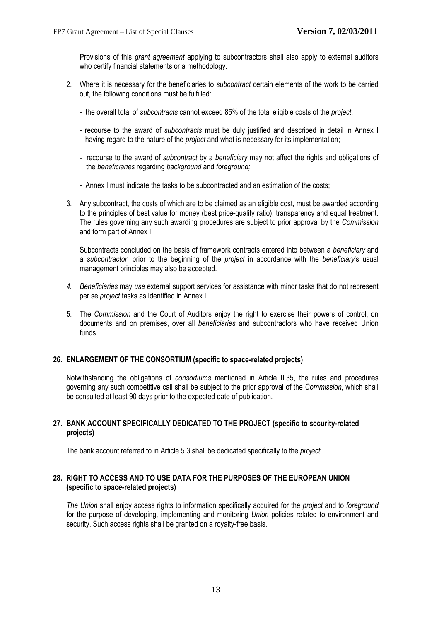Provisions of this *grant agreement* applying to subcontractors shall also apply to external auditors who certify financial statements or a methodology.

- 2. Where it is necessary for the beneficiaries to *subcontract* certain elements of the work to be carried out, the following conditions must be fulfilled:
	- the overall total of *subcontracts* cannot exceed 85% of the total eligible costs of the *project*;
	- recourse to the award of *subcontracts* must be duly justified and described in detail in Annex I having regard to the nature of the *project* and what is necessary for its implementation;
	- recourse to the award of *subcontract* by a *beneficiary* may not affect the rights and obligations of the *beneficiaries* regarding *background* and *foreground;*
	- Annex I must indicate the tasks to be subcontracted and an estimation of the costs;
- 3. Any subcontract, the costs of which are to be claimed as an eligible cost*,* must be awarded according to the principles of best value for money (best price-quality ratio), transparency and equal treatment. The rules governing any such awarding procedures are subject to prior approval by the *Commission* and form part of Annex I.

Subcontracts concluded on the basis of framework contracts entered into between a *beneficiary* and a *subcontractor*, prior to the beginning of the *project* in accordance with the *beneficiary*'s usual management principles may also be accepted.

- *4. Beneficiaries* may *use* external support services for assistance with minor tasks that do not represent per se *project* tasks as identified in Annex I.
- 5. The *Commission* and the Court of Auditors enjoy the right to exercise their powers of control, on documents and on premises, over all *beneficiaries* and subcontractors who have received Union funds.

# <span id="page-12-0"></span>**26. ENLARGEMENT OF THE CONSORTIUM (specific to space-related projects)**

Notwithstanding the obligations of *consortiums* mentioned in Article II.35, the rules and procedures governing any such competitive call shall be subject to the prior approval of the *Commission*, which shall be consulted at least 90 days prior to the expected date of publication.

# <span id="page-12-1"></span>**27. BANK ACCOUNT SPECIFICALLY DEDICATED TO THE PROJECT (specific to security-related projects)**

The bank account referred to in Article 5.3 shall be dedicated specifically to the *project*.

# <span id="page-12-2"></span>**28. RIGHT TO ACCESS AND TO USE DATA FOR THE PURPOSES OF THE EUROPEAN UNION (specific to space-related projects)**

*The Union* shall enjoy access rights to information specifically acquired for the *project* and to *foreground* for the purpose of developing, implementing and monitoring *Union* policies related to environment and security. Such access rights shall be granted on a royalty-free basis.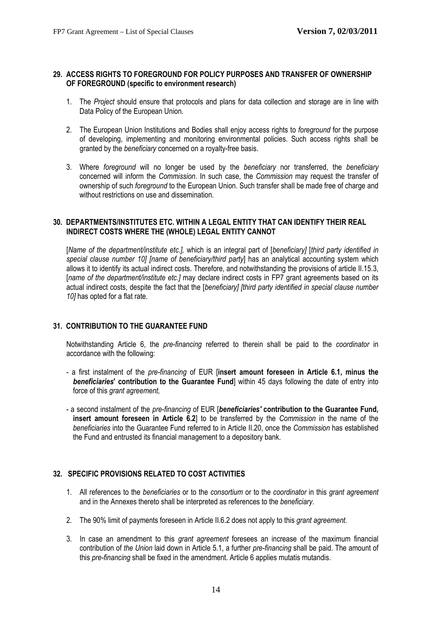# <span id="page-13-0"></span>**29. ACCESS RIGHTS TO FOREGROUND FOR POLICY PURPOSES AND TRANSFER OF OWNERSHIP OF FOREGROUND (specific to environment research)**

- 1. The *Project* should ensure that protocols and plans for data collection and storage are in line with Data Policy of the European Union.
- 2. The European Union Institutions and Bodies shall enjoy access rights to *foreground* for the purpose of developing, implementing and monitoring environmental policies. Such access rights shall be granted by the *beneficiary* concerned on a royalty-free basis.
- 3. Where *foreground* will no longer be used by the *beneficiary* nor transferred, the *beneficiary* concerned will inform the *Commission*. In such case, the *Commission* may request the transfer of ownership of such *foreground* to the European Union. Such transfer shall be made free of charge and without restrictions on use and dissemination.

# **30. DEPARTMENTS/INSTITUTES ETC. WITHIN A LEGAL ENTITY THAT CAN IDENTIFY THEIR REAL INDIRECT COSTS WHERE THE (WHOLE) LEGAL ENTITY CANNOT**

[*Name of the department/institute etc.],* which is an integral part of [*beneficiary]* [*third party identified in special clause number 10] [name of beneficiary/third party*] has an analytical accounting system which allows it to identify its actual indirect costs. Therefore, and notwithstanding the provisions of article II.15.3, [*name of the department/institute etc.]* may declare indirect costs in FP7 grant agreements based on its actual indirect costs, despite the fact that the [*beneficiary] [third party identified in special clause number 10]* has opted for a flat rate.

# **31. CONTRIBUTION TO THE GUARANTEE FUND**

Notwithstanding Article 6, the *pre-financing* referred to therein shall be paid to the *coordinator* in accordance with the following:

- a first instalment of the *pre-financing* of EUR [**insert amount foreseen in Article 6.1, minus the**  *beneficiaries***' contribution to the Guarantee Fund**] within 45 days following the date of entry into force of this *grant agreement,*
- a second instalment of the *pre-financing* of EUR [*beneficiaries'* **contribution to the Guarantee Fund, insert amount foreseen in Article 6.2**] to be transferred by the *Commission* in the name of the *beneficiaries* into the Guarantee Fund referred to in Article II.20, once the *Commission* has established the Fund and entrusted its financial management to a depository bank.

# **32. SPECIFIC PROVISIONS RELATED TO COST ACTIVITIES**

- 1. All references to the *beneficiaries* or to the *consortium* or to the *coordinator* in this *grant agreement* and in the Annexes thereto shall be interpreted as references to the *beneficiary*.
- 2. The 90% limit of payments foreseen in Article II.6.2 does not apply to this *grant agreement.*
- 3. In case an amendment to this *grant agreement* foresees an increase of the maximum financial contribution of *the Union* laid down in Article 5.1, a further *pre-financing* shall be paid. The amount of this *pre-financing* shall be fixed in the amendment. Article 6 applies mutatis mutandis.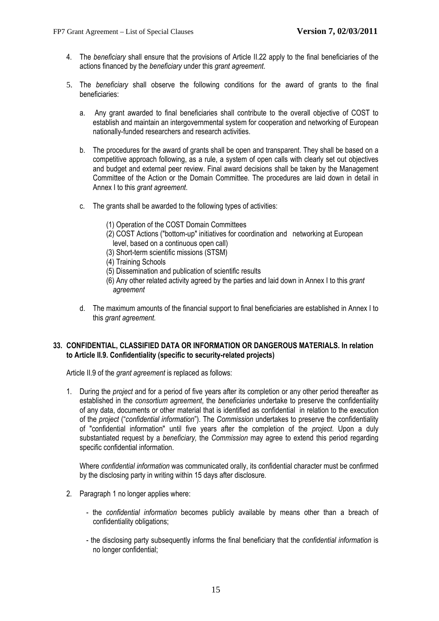- 4. The *beneficiary* shall ensure that the provisions of Article II.22 apply to the final beneficiaries of the actions financed by the *beneficiary* under this *grant agreement*.
- 5. The *beneficiary* shall observe the following conditions for the award of grants to the final beneficiaries:
	- a. Any grant awarded to final beneficiaries shall contribute to the overall objective of COST to establish and maintain an intergovernmental system for cooperation and networking of European nationally-funded researchers and research activities.
	- b. The procedures for the award of grants shall be open and transparent. They shall be based on a competitive approach following, as a rule, a system of open calls with clearly set out objectives and budget and external peer review. Final award decisions shall be taken by the Management Committee of the Action or the Domain Committee. The procedures are laid down in detail in Annex I to this *grant agreement*.
	- c. The grants shall be awarded to the following types of activities:
		- (1) Operation of the COST Domain Committees
		- (2) COST Actions ("bottom-up" initiatives for coordination and networking at European level, based on a continuous open call)
		- (3) Short-term scientific missions (STSM)
		- (4) Training Schools
		- (5) Dissemination and publication of scientific results
		- (6) Any other related activity agreed by the parties and laid down in Annex I to this *grant agreement*
	- d. The maximum amounts of the financial support to final beneficiaries are established in Annex I to this *grant agreement.*

# **33. CONFIDENTIAL, CLASSIFIED DATA OR INFORMATION OR DANGEROUS MATERIALS. In relation to Article II.9. Confidentiality (specific to security-related projects)**

Article II.9 of the *grant agreement* is replaced as follows:

1. During the *project* and for a period of five years after its completion or any other period thereafter as established in the *consortium agreement*, the *beneficiaries* undertake to preserve the confidentiality of any data, documents or other material that is identified as confidential in relation to the execution of the *project* ("*confidential information*"). The *Commission* undertakes to preserve the confidentiality of "confidential information" until five years after the completion of the *project*. Upon a duly substantiated request by a *beneficiary,* the *Commission* may agree to extend this period regarding specific confidential information.

Where *confidential information* was communicated orally, its confidential character must be confirmed by the disclosing party in writing within 15 days after disclosure*.* 

- 2. Paragraph 1 no longer applies where:
	- the *confidential information* becomes publicly available by means other than a breach of confidentiality obligations;
	- the disclosing party subsequently informs the final beneficiary that the *confidential information* is no longer confidential;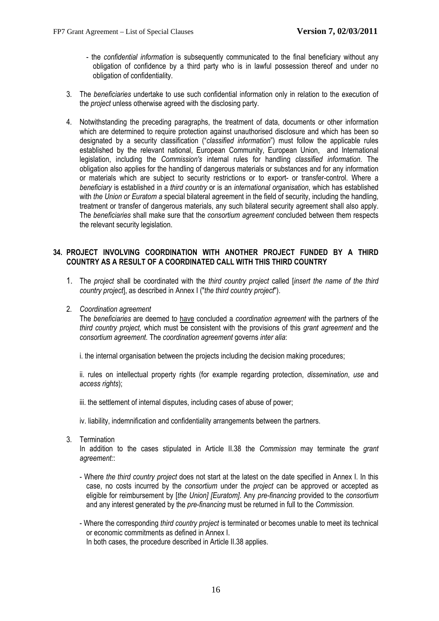- the *confidential information* is subsequently communicated to the final beneficiary without any obligation of confidence by a third party who is in lawful possession thereof and under no obligation of confidentiality.
- 3. The *beneficiaries* undertake to use such confidential information only in relation to the execution of the *project* unless otherwise agreed with the disclosing party.
- 4. Notwithstanding the preceding paragraphs, the treatment of data, documents or other information which are determined to require protection against unauthorised disclosure and which has been so designated by a security classification ("*classified information*") must follow the applicable rules established by the relevant national, European Community, European Union, and International legislation, including the *Commission's* internal rules for handling *classified information*. The obligation also applies for the handling of dangerous materials or substances and for any information or materials which are subject to security restrictions or to export- or transfer-control. Where a *beneficiary* is established in a *third country* or is an *international organisation*, which has established with *the Union or Euratom a* special bilateral agreement in the field of security, including the handling, treatment or transfer of dangerous materials, any such bilateral security agreement shall also apply. The *beneficiaries* shall make sure that the *consortium agreement* concluded between them respects the relevant security legislation.

# **34. PROJECT INVOLVING COORDINATION WITH ANOTHER PROJECT FUNDED BY A THIRD COUNTRY AS A RESULT OF A COORDINATED CALL WITH THIS THIRD COUNTRY**

- 1. The *project* shall be coordinated with the *third country project* called [*insert the name of the third country project*], as described in Annex I ("*the third country project*").
- 2. *Coordination agreement*

The *beneficiaries* are deemed to [have](#page-0-0) concluded a *coordination agreement* with the partners of the *third country project,* which must be consistent with the provisions of this *grant agreement* and the *consortium agreement*. The *coordination agreement* governs *inter alia*:

i. the internal organisation between the projects including the decision making procedures;

ii. rules on intellectual property rights (for example regarding protection, *dissemination*, *use* and *access rights*);

iii. the settlement of internal disputes, including cases of abuse of power;

- iv. liability, indemnification and confidentiality arrangements between the partners.
- 3. Termination

In addition to the cases stipulated in Article II.38 the *Commission* may terminate the *grant agreement:*:

- Where *the third country project* does not start at the latest on the date specified in Annex I. In this case, no costs incurred by the *consortium* under the *project* can be approved or accepted as eligible for reimbursement by [*the Union] [Euratom]*. Any *pre-financing* provided to the *consortium*  and any interest generated by the *pre-financing* must be returned in full to the *Commission.*
- Where the corresponding *third country project* is terminated or becomes unable to meet its technical or economic commitments as defined in Annex I. In both cases, the procedure described in Article II.38 applies.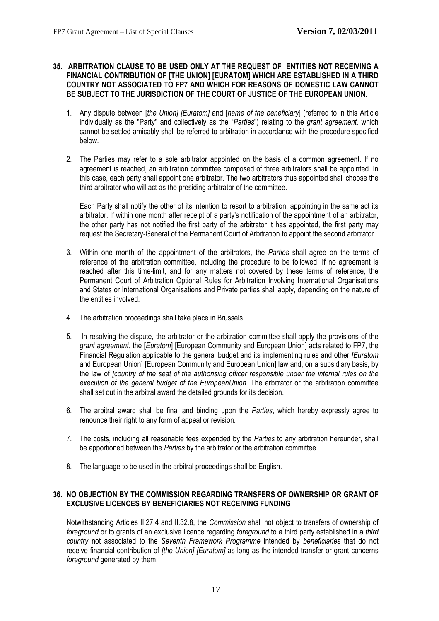### **35. ARBITRATION CLAUSE TO BE USED ONLY AT THE REQUEST OF ENTITIES NOT RECEIVING A FINANCIAL CONTRIBUTION OF [THE UNION] [EURATOM] WHICH ARE ESTABLISHED IN A THIRD COUNTRY NOT ASSOCIATED TO FP7 AND WHICH FOR REASONS OF DOMESTIC LAW CANNOT BE SUBJECT TO THE JURISDICTION OF THE COURT OF JUSTICE OF THE EUROPEAN UNION.**

- 1. Any dispute between [*the Union] [Euratom]* and [*name of the beneficiary*] (referred to in this Article individually as the "Party" and collectively as the "*Parties*") relating to the *grant agreement,* which cannot be settled amicably shall be referred to arbitration in accordance with the procedure specified below.
- 2. The Parties may refer to a sole arbitrator appointed on the basis of a common agreement. If no agreement is reached, an arbitration committee composed of three arbitrators shall be appointed. In this case, each party shall appoint one arbitrator. The two arbitrators thus appointed shall choose the third arbitrator who will act as the presiding arbitrator of the committee.

Each Party shall notify the other of its intention to resort to arbitration, appointing in the same act its arbitrator. If within one month after receipt of a party's notification of the appointment of an arbitrator, the other party has not notified the first party of the arbitrator it has appointed, the first party may request the Secretary-General of the Permanent Court of Arbitration to appoint the second arbitrator.

- 3. Within one month of the appointment of the arbitrators, the *Parties* shall agree on the terms of reference of the arbitration committee, including the procedure to be followed. If no agreement is reached after this time-limit, and for any matters not covered by these terms of reference, the Permanent Court of Arbitration Optional Rules for Arbitration Involving International Organisations and States or International Organisations and Private parties shall apply, depending on the nature of the entities involved.
- 4 The arbitration proceedings shall take place in Brussels.
- 5. In resolving the dispute, the arbitrator or the arbitration committee shall apply the provisions of the *grant agreement*, the [*Euratom*] [European Community and European Union] acts related to FP7, the Financial Regulation applicable to the general budget and its implementing rules and other *[Euratom*  and European Union] [European Community and European Union] law and, on a subsidiary basis, by the law of *[country of the seat of the authorising officer responsible under the internal rules on the*  execution of the general budget of the EuropeanUnion. The arbitrator or the arbitration committee shall set out in the arbitral award the detailed grounds for its decision.
- 6. The arbitral award shall be final and binding upon the *Parties*, which hereby expressly agree to renounce their right to any form of appeal or revision.
- 7. The costs, including all reasonable fees expended by the *Parties* to any arbitration hereunder, shall be apportioned between the *Parties* by the arbitrator or the arbitration committee.
- 8. The language to be used in the arbitral proceedings shall be English.

# **36. NO OBJECTION BY THE COMMISSION REGARDING TRANSFERS OF OWNERSHIP OR GRANT OF EXCLUSIVE LICENCES BY BENEFICIARIES NOT RECEIVING FUNDING**

Notwithstanding Articles II.27.4 and II.32.8, the *Commission* shall not object to transfers of ownership of *foreground* or to grants of an exclusive licence regarding *foreground* to a third party established in a *third country* not associated to the *Seventh Framework Programme* intended by *beneficiaries* that do not receive financial contribution of *[the Union] [Euratom]* as long as the intended transfer or grant concerns *foreground* generated by them.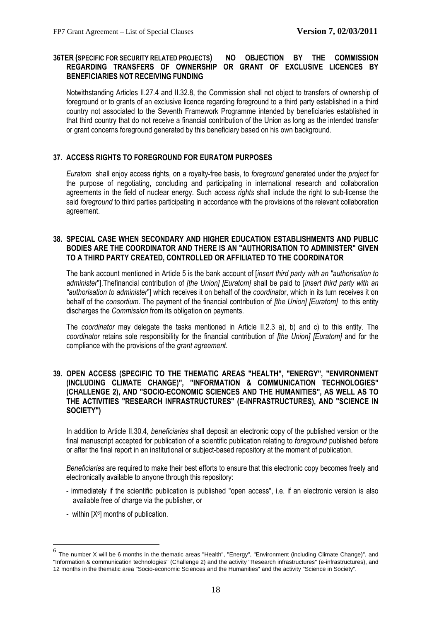# **36TER (SPECIFIC FOR SECURITY RELATED PROJECTS) NO OBJECTION BY THE COMMISSION REGARDING TRANSFERS OF OWNERSHIP OR GRANT OF EXCLUSIVE LICENCES BY BENEFICIARIES NOT RECEIVING FUNDING**

Notwithstanding Articles II.27.4 and II.32.8, the Commission shall not object to transfers of ownership of foreground or to grants of an exclusive licence regarding foreground to a third party established in a third country not associated to the Seventh Framework Programme intended by beneficiaries established in that third country that do not receive a financial contribution of the Union as long as the intended transfer or grant concerns foreground generated by this beneficiary based on his own background.

# **37. ACCESS RIGHTS TO FOREGROUND FOR EURATOM PURPOSES**

*Euratom* shall enjoy access rights, on a royalty-free basis, to *foreground* generated under the *project* for the purpose of negotiating, concluding and participating in international research and collaboration agreements in the field of nuclear energy. Such *access rights* shall include the right to sub-license the said *foreground* to third parties participating in accordance with the provisions of the relevant collaboration agreement.

# **38. SPECIAL CASE WHEN SECONDARY AND HIGHER EDUCATION ESTABLISHMENTS AND PUBLIC BODIES ARE THE COORDINATOR AND THERE IS AN "AUTHORISATION TO ADMINISTER" GIVEN TO A THIRD PARTY CREATED, CONTROLLED OR AFFILIATED TO THE COORDINATOR**

The bank account mentioned in Article 5 is the bank account of [*insert third party with an "authorisation to administer*"].Thefinancial contribution of *[the Union] [Euratom]* shall be paid to [*insert third party with an "authorisation to administer*"] which receives it on behalf of the *coordinat*or, which in its turn receives it on behalf of the *consortium*. The payment of the financial contribution of *[the Union] [Euratom]* to this entity discharges the *Commission* from its obligation on payments.

The *coordinator* may delegate the tasks mentioned in Article II.2.3 a), b) and c) to this entity. The *coordinator* retains sole responsibility for the financial contribution of *[the Union] [Euratom]* and for the compliance with the provisions of the *grant agreement*.

# **39. OPEN ACCESS (SPECIFIC TO THE THEMATIC AREAS "HEALTH", "ENERGY", "ENVIRONMENT (INCLUDING CLIMATE CHANGE)", "INFORMATION & COMMUNICATION TECHNOLOGIES" (CHALLENGE 2), AND "SOCIO-ECONOMIC SCIENCES AND THE HUMANITIES", AS WELL AS TO THE ACTIVITIES "RESEARCH INFRASTRUCTURES" (E-INFRASTRUCTURES), AND "SCIENCE IN SOCIETY")**

In addition to Article II.30.4, *beneficiaries* shall deposit an electronic copy of the published version or the final manuscript accepted for publication of a scientific publication relating to *foreground* published before or after the final report in an institutional or subject-based repository at the moment of publication.

*Beneficiaries* are required to make their best efforts to ensure that this electronic copy becomes freely and electronically available to anyone through this repository:

- immediately if the scientific publication is published "open access", i.e. if an electronic version is also available free of charge via the publisher, or
- within  $[X^6]$  months of publication.

 $\overline{a}$ 

 $^6$  The number X will be 6 months in the thematic areas "Health", "Energy", "Environment (including Climate Change)", and "Information & communication technologies" (Challenge 2) and the activity "Research infrastructures" (e-infrastructures), and 12 months in the thematic area "Socio-economic Sciences and the Humanities" and the activity "Science in Society".